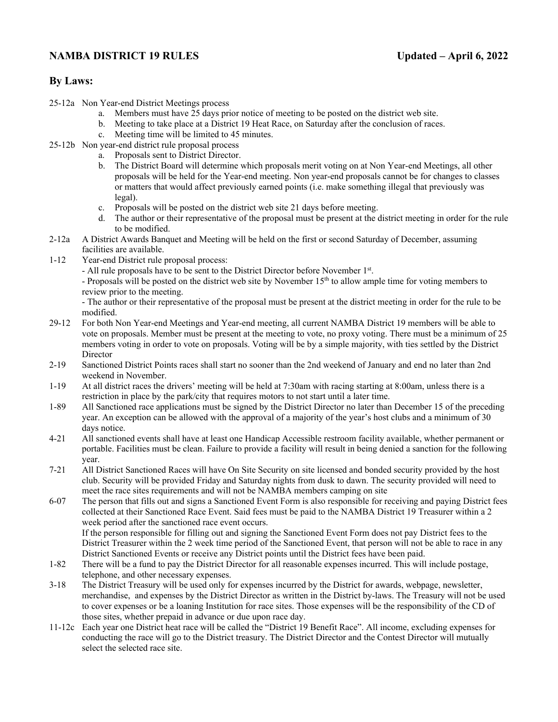# **NAMBA DISTRICT 19 RULES** Updated – April 6, 2022

# **By Laws:**

- 25-12a Non Year-end District Meetings process
	- a. Members must have 25 days prior notice of meeting to be posted on the district web site.
	- b. Meeting to take place at a District 19 Heat Race, on Saturday after the conclusion of races.
	- c. Meeting time will be limited to 45 minutes.
- 25-12b Non year-end district rule proposal process
	- a. Proposals sent to District Director.
		- b. The District Board will determine which proposals merit voting on at Non Year-end Meetings, all other proposals will be held for the Year-end meeting. Non year-end proposals cannot be for changes to classes or matters that would affect previously earned points (i.e. make something illegal that previously was legal).
		- c. Proposals will be posted on the district web site 21 days before meeting.
		- d. The author or their representative of the proposal must be present at the district meeting in order for the rule to be modified.
- 2-12a A District Awards Banquet and Meeting will be held on the first or second Saturday of December, assuming facilities are available.
- 1-12 Year-end District rule proposal process:
	- All rule proposals have to be sent to the District Director before November 1st.

- Proposals will be posted on the district web site by November 15<sup>th</sup> to allow ample time for voting members to review prior to the meeting.

- The author or their representative of the proposal must be present at the district meeting in order for the rule to be modified.

- 29-12 For both Non Year-end Meetings and Year-end meeting, all current NAMBA District 19 members will be able to vote on proposals. Member must be present at the meeting to vote, no proxy voting. There must be a minimum of 25 members voting in order to vote on proposals. Voting will be by a simple majority, with ties settled by the District Director
- 2-19 Sanctioned District Points races shall start no sooner than the 2nd weekend of January and end no later than 2nd weekend in November.
- 1-19 At all district races the drivers' meeting will be held at 7:30am with racing starting at 8:00am, unless there is a restriction in place by the park/city that requires motors to not start until a later time.
- 1-89 All Sanctioned race applications must be signed by the District Director no later than December 15 of the preceding year. An exception can be allowed with the approval of a majority of the year's host clubs and a minimum of 30 days notice.
- 4-21 All sanctioned events shall have at least one Handicap Accessible restroom facility available, whether permanent or portable. Facilities must be clean. Failure to provide a facility will result in being denied a sanction for the following year.
- 7-21 All District Sanctioned Races will have On Site Security on site licensed and bonded security provided by the host club. Security will be provided Friday and Saturday nights from dusk to dawn. The security provided will need to meet the race sites requirements and will not be NAMBA members camping on site
- 6-07 The person that fills out and signs a Sanctioned Event Form is also responsible for receiving and paying District fees collected at their Sanctioned Race Event. Said fees must be paid to the NAMBA District 19 Treasurer within a 2 week period after the sanctioned race event occurs. If the person responsible for filling out and signing the Sanctioned Event Form does not pay District fees to the

District Treasurer within the 2 week time period of the Sanctioned Event, that person will not be able to race in any District Sanctioned Events or receive any District points until the District fees have been paid.

- 1-82 There will be a fund to pay the District Director for all reasonable expenses incurred. This will include postage, telephone, and other necessary expenses.
- 3-18 The District Treasury will be used only for expenses incurred by the District for awards, webpage, newsletter, merchandise, and expenses by the District Director as written in the District by-laws. The Treasury will not be used to cover expenses or be a loaning Institution for race sites. Those expenses will be the responsibility of the CD of those sites, whether prepaid in advance or due upon race day.
- 11-12c Each year one District heat race will be called the "District 19 Benefit Race". All income, excluding expenses for conducting the race will go to the District treasury. The District Director and the Contest Director will mutually select the selected race site.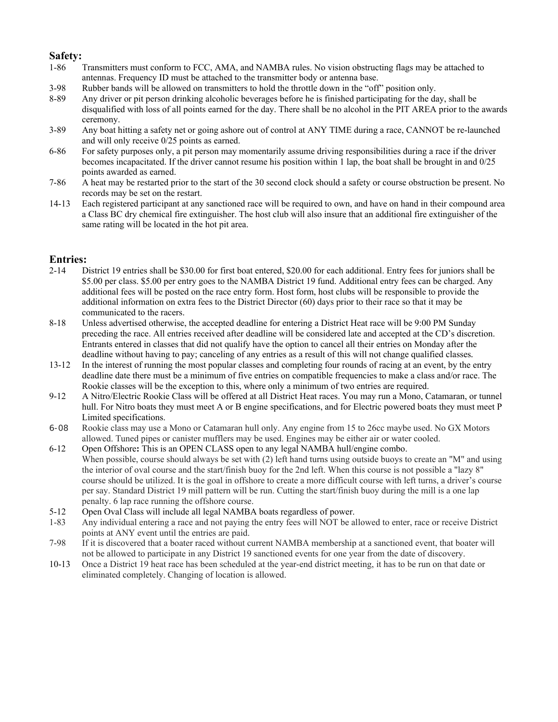### **Safety:**

- 1-86 Transmitters must conform to FCC, AMA, and NAMBA rules. No vision obstructing flags may be attached to antennas. Frequency ID must be attached to the transmitter body or antenna base.
- 3-98 Rubber bands will be allowed on transmitters to hold the throttle down in the "off" position only.
- 8-89 Any driver or pit person drinking alcoholic beverages before he is finished participating for the day, shall be disqualified with loss of all points earned for the day. There shall be no alcohol in the PIT AREA prior to the awards ceremony.
- 3-89 Any boat hitting a safety net or going ashore out of control at ANY TIME during a race, CANNOT be re-launched and will only receive 0/25 points as earned.
- 6-86 For safety purposes only, a pit person may momentarily assume driving responsibilities during a race if the driver becomes incapacitated. If the driver cannot resume his position within 1 lap, the boat shall be brought in and 0/25 points awarded as earned.
- 7-86 A heat may be restarted prior to the start of the 30 second clock should a safety or course obstruction be present. No records may be set on the restart.
- 14-13 Each registered participant at any sanctioned race will be required to own, and have on hand in their compound area a Class BC dry chemical fire extinguisher. The host club will also insure that an additional fire extinguisher of the same rating will be located in the hot pit area.

### **Entries:**

- 2-14 District 19 entries shall be \$30.00 for first boat entered, \$20.00 for each additional. Entry fees for juniors shall be \$5.00 per class. \$5.00 per entry goes to the NAMBA District 19 fund. Additional entry fees can be charged. Any additional fees will be posted on the race entry form. Host form, host clubs will be responsible to provide the additional information on extra fees to the District Director (60) days prior to their race so that it may be communicated to the racers.
- 8-18 Unless advertised otherwise, the accepted deadline for entering a District Heat race will be 9:00 PM Sunday preceding the race. All entries received after deadline will be considered late and accepted at the CD's discretion. Entrants entered in classes that did not qualify have the option to cancel all their entries on Monday after the deadline without having to pay; canceling of any entries as a result of this will not change qualified classes*.*
- 13-12 In the interest of running the most popular classes and completing four rounds of racing at an event, by the entry deadline date there must be a minimum of five entries on compatible frequencies to make a class and/or race. The Rookie classes will be the exception to this, where only a minimum of two entries are required.
- 9-12 A Nitro/Electric Rookie Class will be offered at all District Heat races. You may run a Mono, Catamaran, or tunnel hull. For Nitro boats they must meet A or B engine specifications, and for Electric powered boats they must meet P Limited specifications.
- 6-08 Rookie class may use a Mono or Catamaran hull only. Any engine from 15 to 26cc maybe used. No GX Motors allowed. Tuned pipes or canister mufflers may be used. Engines may be either air or water cooled.
- 6-12 Open Offshore**:** This is an OPEN CLASS open to any legal NAMBA hull/engine combo. When possible, course should always be set with (2) left hand turns using outside buoys to create an "M" and using the interior of oval course and the start/finish buoy for the 2nd left. When this course is not possible a "lazy 8" course should be utilized. It is the goal in offshore to create a more difficult course with left turns, a driver's course per say. Standard District 19 mill pattern will be run. Cutting the start/finish buoy during the mill is a one lap penalty. 6 lap race running the offshore course.
- 5-12 Open Oval Class will include all legal NAMBA boats regardless of power.
- 1-83 Any individual entering a race and not paying the entry fees will NOT be allowed to enter, race or receive District points at ANY event until the entries are paid.
- 7-98 If it is discovered that a boater raced without current NAMBA membership at a sanctioned event, that boater will not be allowed to participate in any District 19 sanctioned events for one year from the date of discovery.
- 10-13 Once a District 19 heat race has been scheduled at the year-end district meeting, it has to be run on that date or eliminated completely. Changing of location is allowed.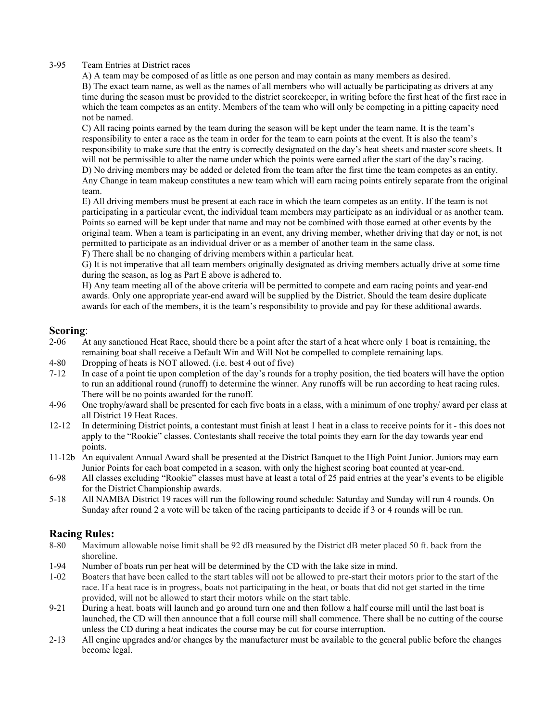#### 3-95 Team Entries at District races

A) A team may be composed of as little as one person and may contain as many members as desired. B) The exact team name, as well as the names of all members who will actually be participating as drivers at any time during the season must be provided to the district scorekeeper, in writing before the first heat of the first race in which the team competes as an entity. Members of the team who will only be competing in a pitting capacity need not be named.

C) All racing points earned by the team during the season will be kept under the team name. It is the team's responsibility to enter a race as the team in order for the team to earn points at the event. It is also the team's responsibility to make sure that the entry is correctly designated on the day's heat sheets and master score sheets. It will not be permissible to alter the name under which the points were earned after the start of the day's racing. D) No driving members may be added or deleted from the team after the first time the team competes as an entity. Any Change in team makeup constitutes a new team which will earn racing points entirely separate from the original team.

E) All driving members must be present at each race in which the team competes as an entity. If the team is not participating in a particular event, the individual team members may participate as an individual or as another team. Points so earned will be kept under that name and may not be combined with those earned at other events by the original team. When a team is participating in an event, any driving member, whether driving that day or not, is not permitted to participate as an individual driver or as a member of another team in the same class.

F) There shall be no changing of driving members within a particular heat.

G) It is not imperative that all team members originally designated as driving members actually drive at some time during the season, as log as Part E above is adhered to.

H) Any team meeting all of the above criteria will be permitted to compete and earn racing points and year-end awards. Only one appropriate year-end award will be supplied by the District. Should the team desire duplicate awards for each of the members, it is the team's responsibility to provide and pay for these additional awards.

### **Scoring**:

- 2-06 At any sanctioned Heat Race, should there be a point after the start of a heat where only 1 boat is remaining, the remaining boat shall receive a Default Win and Will Not be compelled to complete remaining laps.
- 4-80 Dropping of heats is NOT allowed. (i.e. best 4 out of five)
- 7-12 In case of a point tie upon completion of the day's rounds for a trophy position, the tied boaters will have the option to run an additional round (runoff) to determine the winner. Any runoffs will be run according to heat racing rules. There will be no points awarded for the runoff.
- 4-96 One trophy/award shall be presented for each five boats in a class, with a minimum of one trophy/ award per class at all District 19 Heat Races.
- 12-12 In determining District points, a contestant must finish at least 1 heat in a class to receive points for it this does not apply to the "Rookie" classes. Contestants shall receive the total points they earn for the day towards year end points.
- 11-12b An equivalent Annual Award shall be presented at the District Banquet to the High Point Junior. Juniors may earn Junior Points for each boat competed in a season, with only the highest scoring boat counted at year-end.
- 6-98 All classes excluding "Rookie" classes must have at least a total of 25 paid entries at the year's events to be eligible for the District Championship awards.
- 5-18 All NAMBA District 19 races will run the following round schedule: Saturday and Sunday will run 4 rounds. On Sunday after round 2 a vote will be taken of the racing participants to decide if 3 or 4 rounds will be run.

### **Racing Rules:**

- 8-80 Maximum allowable noise limit shall be 92 dB measured by the District dB meter placed 50 ft. back from the shoreline.
- 1-94 Number of boats run per heat will be determined by the CD with the lake size in mind.
- 1-02 Boaters that have been called to the start tables will not be allowed to pre-start their motors prior to the start of the race. If a heat race is in progress, boats not participating in the heat, or boats that did not get started in the time provided, will not be allowed to start their motors while on the start table.
- 9-21 During a heat, boats will launch and go around turn one and then follow a half course mill until the last boat is launched, the CD will then announce that a full course mill shall commence. There shall be no cutting of the course unless the CD during a heat indicates the course may be cut for course interruption.
- 2-13 All engine upgrades and/or changes by the manufacturer must be available to the general public before the changes become legal.